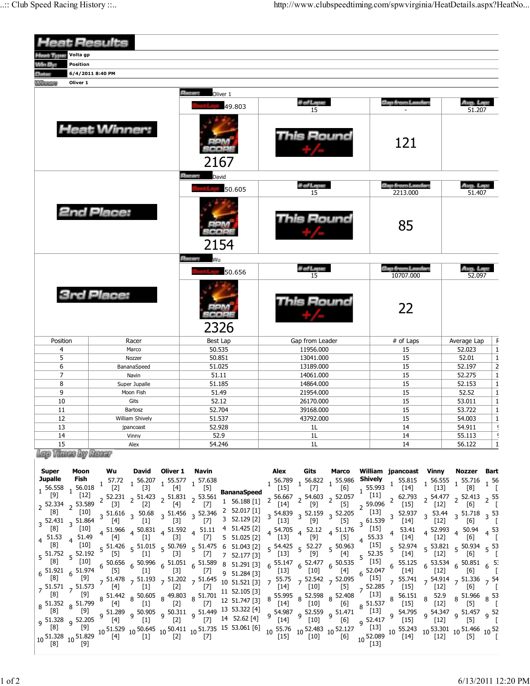|                                                                                                                                       | <b>Heat Results</b>                                                                                                                                                                                                                                              |                                                                                         |                                                                                                                                                                          |                                                                                                                                                                                                |                                                                                                                                                |  |  |
|---------------------------------------------------------------------------------------------------------------------------------------|------------------------------------------------------------------------------------------------------------------------------------------------------------------------------------------------------------------------------------------------------------------|-----------------------------------------------------------------------------------------|--------------------------------------------------------------------------------------------------------------------------------------------------------------------------|------------------------------------------------------------------------------------------------------------------------------------------------------------------------------------------------|------------------------------------------------------------------------------------------------------------------------------------------------|--|--|
| Volta gp<br><b>Hout Type:</b>                                                                                                         |                                                                                                                                                                                                                                                                  |                                                                                         |                                                                                                                                                                          |                                                                                                                                                                                                |                                                                                                                                                |  |  |
| Win By:<br><b>Position</b>                                                                                                            |                                                                                                                                                                                                                                                                  |                                                                                         |                                                                                                                                                                          |                                                                                                                                                                                                |                                                                                                                                                |  |  |
| <b>Data</b>                                                                                                                           | 6/4/2011 8:40 PM                                                                                                                                                                                                                                                 |                                                                                         |                                                                                                                                                                          |                                                                                                                                                                                                |                                                                                                                                                |  |  |
| <b><i><u>ALLEN</u></i></b><br>Oliver 1                                                                                                |                                                                                                                                                                                                                                                                  |                                                                                         |                                                                                                                                                                          |                                                                                                                                                                                                |                                                                                                                                                |  |  |
|                                                                                                                                       |                                                                                                                                                                                                                                                                  | <b>Recent</b><br>Oliver 1                                                               |                                                                                                                                                                          |                                                                                                                                                                                                |                                                                                                                                                |  |  |
|                                                                                                                                       |                                                                                                                                                                                                                                                                  | 49.803                                                                                  | # of Laps:<br>15                                                                                                                                                         | <b>Gap from Leader:</b>                                                                                                                                                                        | Avg. Lep:<br>51.207                                                                                                                            |  |  |
|                                                                                                                                       | <b>Heat Winner:</b>                                                                                                                                                                                                                                              | 2167                                                                                    | This Round                                                                                                                                                               | 121                                                                                                                                                                                            |                                                                                                                                                |  |  |
|                                                                                                                                       |                                                                                                                                                                                                                                                                  | <b>Elector</b><br>David                                                                 |                                                                                                                                                                          |                                                                                                                                                                                                |                                                                                                                                                |  |  |
|                                                                                                                                       |                                                                                                                                                                                                                                                                  | 50.605                                                                                  | # of Laps:<br>15                                                                                                                                                         | <b>Gap from Leader:</b><br>2213.000                                                                                                                                                            | Avg. Lep.<br>51.407                                                                                                                            |  |  |
|                                                                                                                                       | <b>2nd Place:</b>                                                                                                                                                                                                                                                | 2154                                                                                    | is Round                                                                                                                                                                 | 85                                                                                                                                                                                             |                                                                                                                                                |  |  |
|                                                                                                                                       |                                                                                                                                                                                                                                                                  | <b>Bloomy</b><br>Wu<br>50.656                                                           | # of Laps:<br>15                                                                                                                                                         | <b>Gap from Leaders</b><br>10707.000                                                                                                                                                           | Avg. Lep<br>52.097                                                                                                                             |  |  |
|                                                                                                                                       | <b>3rd Place:</b>                                                                                                                                                                                                                                                | 2326                                                                                    | ls Round                                                                                                                                                                 | 22                                                                                                                                                                                             |                                                                                                                                                |  |  |
| Position                                                                                                                              | Racer                                                                                                                                                                                                                                                            | Best Lap                                                                                | Gap from Leader                                                                                                                                                          | # of Laps                                                                                                                                                                                      | Average Lap                                                                                                                                    |  |  |
| 4                                                                                                                                     | Marco                                                                                                                                                                                                                                                            | 50.535                                                                                  | 11956.000                                                                                                                                                                | 15                                                                                                                                                                                             | 52.023                                                                                                                                         |  |  |
| 5                                                                                                                                     | Nozzer                                                                                                                                                                                                                                                           | 50.851                                                                                  | 13041.000                                                                                                                                                                | 15                                                                                                                                                                                             | 52.01                                                                                                                                          |  |  |
| 6                                                                                                                                     | BananaSpeed                                                                                                                                                                                                                                                      | 51.025                                                                                  | 13189.000                                                                                                                                                                | 15                                                                                                                                                                                             | 52.197                                                                                                                                         |  |  |
| $\overline{7}$                                                                                                                        | Navin                                                                                                                                                                                                                                                            | 51.11                                                                                   | 14061.000                                                                                                                                                                | 15                                                                                                                                                                                             | 52.275                                                                                                                                         |  |  |
| 8                                                                                                                                     | Super Jupalle                                                                                                                                                                                                                                                    | 51.185                                                                                  | 14864.000                                                                                                                                                                | 15                                                                                                                                                                                             | 52.153                                                                                                                                         |  |  |
| 9                                                                                                                                     | Moon Fish                                                                                                                                                                                                                                                        | 51.49                                                                                   | 21954.000                                                                                                                                                                | 15                                                                                                                                                                                             | 52.52                                                                                                                                          |  |  |
| 10                                                                                                                                    | Gits                                                                                                                                                                                                                                                             | 52.12                                                                                   | 26170.000                                                                                                                                                                | 15                                                                                                                                                                                             | 53.011                                                                                                                                         |  |  |
| 11                                                                                                                                    | Bartosz                                                                                                                                                                                                                                                          | 52.704                                                                                  | 39168.000                                                                                                                                                                | 15                                                                                                                                                                                             | 53.722                                                                                                                                         |  |  |
| 12                                                                                                                                    | William Shively                                                                                                                                                                                                                                                  | 51.537                                                                                  | 43792.000                                                                                                                                                                | 15                                                                                                                                                                                             | 54.003                                                                                                                                         |  |  |
| 13                                                                                                                                    | jpancoast                                                                                                                                                                                                                                                        | 52.928                                                                                  | 1L                                                                                                                                                                       | 14                                                                                                                                                                                             | 54.911                                                                                                                                         |  |  |
| 14                                                                                                                                    | Vinny                                                                                                                                                                                                                                                            | 52.9                                                                                    | 1L                                                                                                                                                                       | 14                                                                                                                                                                                             | 55.113                                                                                                                                         |  |  |
| 15                                                                                                                                    | Alex                                                                                                                                                                                                                                                             | 54.246                                                                                  | 1L                                                                                                                                                                       | 14                                                                                                                                                                                             | 56.122                                                                                                                                         |  |  |
| Lego Vitacas Bay Renasy                                                                                                               |                                                                                                                                                                                                                                                                  |                                                                                         |                                                                                                                                                                          |                                                                                                                                                                                                |                                                                                                                                                |  |  |
| <b>Super</b><br><b>Moon</b><br><b>Jupalle</b><br>Fish<br>56.018<br>$1^{56.558}$<br>$[12]$<br>53.589<br>$2^{52.334}$<br>$\overline{2}$ | Wu<br>David<br>Oliver 1<br>57.72<br>1 56.207 1 55.577 1 57.638<br>$[3]$<br>$[2]$<br>$[4] % \includegraphics[width=0.9\columnwidth]{figures/fig_4} \caption{A=}\ \vspace{0.8cm} \label{fig:4}%$<br>$2^{51.423}$ $2^{51.831}$ 2<br>52.231<br>$[2]$<br>[4]<br>$[3]$ | Navin<br>$[5]$<br><b>BananaSpeed</b><br>53.561<br>1 56.188 [1]<br>$[7]$<br>2 52 017 [1] | Alex<br>Gits<br>Marco<br>$1\frac{56.789}{1}$ $1\frac{56.822}{1}$ $1\frac{55.986}{1}$<br>$[15]$<br>$[7]$<br>[6]<br>$56.667$ 2 $54.603$ 2 $52.057$<br>2<br>$[14]$<br>$[5]$ | William ipancoast Vinny<br>Shively<br>$1\quad 55.815$<br>$1\,56.555$<br>$1^{55.993}$<br>$[14]$<br>$[11]$<br>$2\begin{array}{c} 62.793 \\ 5151 \end{array}$<br>$2\frac{59.096}{5121}$<br>$[15]$ | Nozzer<br>Bart<br>$1\,55.716\,1\,56$<br>$[13]$<br>[8]<br>- [<br>$2\frac{54.477}{2.53}$ $2\frac{52.413}{2.55}$ $2\frac{55}{2}$<br>$[12]$<br>[6] |  |  |

|              |                                              |                      |       |     |       |                                                                                                                                                                                                                                                                                      |      |                                                                                                                                                                                                 |                                                                                                                                                                                                         | $2\frac{52.334}{2}$ $2\frac{53.589}{2}$ $5\frac{13}{2}$ $5\frac{1}{2}$ $5\frac{1}{2}$ $5\frac{1}{2}$ $5\frac{1}{2}$ $5\frac{1}{2}$ $5\frac{1}{2}$ $5\frac{1}{2}$ $5\frac{1}{2}$ $5\frac{1}{2}$ $5\frac{1}{2}$ $5\frac{1}{2}$ $5\frac{1}{2}$ $5\frac{1}{2}$ $5\frac{1}{2}$ $5\frac{1}{2}$ $5\frac{1}{2}$                                                                                                                                                                |
|--------------|----------------------------------------------|----------------------|-------|-----|-------|--------------------------------------------------------------------------------------------------------------------------------------------------------------------------------------------------------------------------------------------------------------------------------------|------|-------------------------------------------------------------------------------------------------------------------------------------------------------------------------------------------------|---------------------------------------------------------------------------------------------------------------------------------------------------------------------------------------------------------|------------------------------------------------------------------------------------------------------------------------------------------------------------------------------------------------------------------------------------------------------------------------------------------------------------------------------------------------------------------------------------------------------------------------------------------------------------------------|
|              | [10]                                         |                      |       |     |       |                                                                                                                                                                                                                                                                                      |      |                                                                                                                                                                                                 |                                                                                                                                                                                                         |                                                                                                                                                                                                                                                                                                                                                                                                                                                                        |
|              | $3\frac{52.431}{12}$ 3 51.864                |                      |       |     |       |                                                                                                                                                                                                                                                                                      |      |                                                                                                                                                                                                 |                                                                                                                                                                                                         |                                                                                                                                                                                                                                                                                                                                                                                                                                                                        |
|              | [10]                                         | $4\frac{51.966}{54}$ |       |     |       |                                                                                                                                                                                                                                                                                      |      |                                                                                                                                                                                                 | [15]<br>53.41                                                                                                                                                                                           | $4\begin{array}{cc} 52.993 & 4 & 50.94 \\ 5133 & 4 & 563 \end{array}$                                                                                                                                                                                                                                                                                                                                                                                                  |
|              | $\frac{4}{4}$ 51.49                          | [4]                  | $[1]$ |     | $[7]$ |                                                                                                                                                                                                                                                                                      |      |                                                                                                                                                                                                 | $4\frac{55.33}{14}$ $14\frac{1}{14}$<br>[14]                                                                                                                                                            | $\lceil 12 \rceil$                                                                                                                                                                                                                                                                                                                                                                                                                                                     |
| [8]          | [10]                                         |                      |       |     |       |                                                                                                                                                                                                                                                                                      |      | $5\frac{51.426}{55.42}$ $5\frac{51.015}{55.63}$ $5\frac{50.769}{55.63}$ $5\frac{51.475}{55.63}$ $6\frac{51.043}{55.63}$ $5\frac{54.425}{55.63}$ $5\frac{52.27}{55.63}$ $5\frac{50.963}{50.963}$ | $52.35$ 5 $52.974$                                                                                                                                                                                      | $5\frac{53.821}{54.21}$ $5\frac{50.934}{563}$ $5\frac{53}{5}$                                                                                                                                                                                                                                                                                                                                                                                                          |
| $5^{51.752}$ | $5^{\frac{52.192}{}}$                        | [5]                  | $[1]$ | [3] |       | $[7]$ 7 52.177 [3]                                                                                                                                                                                                                                                                   | [13] | [9]<br>[4]                                                                                                                                                                                      |                                                                                                                                                                                                         |                                                                                                                                                                                                                                                                                                                                                                                                                                                                        |
|              |                                              |                      |       |     |       |                                                                                                                                                                                                                                                                                      |      |                                                                                                                                                                                                 | 55.125                                                                                                                                                                                                  | $6\begin{array}{cc} 53.534 & 6\end{array}$ 50.851 $6\begin{array}{cc} 55 \\ 6\end{array}$                                                                                                                                                                                                                                                                                                                                                                              |
|              |                                              |                      |       |     |       |                                                                                                                                                                                                                                                                                      |      |                                                                                                                                                                                                 | $6\begin{array}{l}52.047\end{array}^6$<br>[14]                                                                                                                                                          |                                                                                                                                                                                                                                                                                                                                                                                                                                                                        |
|              |                                              |                      |       |     |       |                                                                                                                                                                                                                                                                                      |      |                                                                                                                                                                                                 |                                                                                                                                                                                                         | 7 51.478 7 51.193 7 51.202 7 51.645 9 51.645 10 1 6 51.521 [3] 7 55.75 7 52.542 7 52.095 (15] 7 55.741 7 54.914 7 51.336 7 54<br>3 7 [4] 7 [1] 7 [1] 7 [1] 7 [10] 7 [5] 7 52.285 7 [15] 7 [12] 7 [12] 7 [6] 7 [1<br>5 55.442 8 50.60<br>n<br>52.285 7 55.741 7 54.914 7 51.336 7 54<br>7 54.218 7 [15] 7 [12] 7 [6] 7 [6]                                                                                                                                              |
|              | $7\frac{51.571}{521}$ 7 $\frac{51.573}{525}$ |                      |       |     |       |                                                                                                                                                                                                                                                                                      |      |                                                                                                                                                                                                 |                                                                                                                                                                                                         |                                                                                                                                                                                                                                                                                                                                                                                                                                                                        |
|              |                                              |                      |       |     |       |                                                                                                                                                                                                                                                                                      |      |                                                                                                                                                                                                 |                                                                                                                                                                                                         |                                                                                                                                                                                                                                                                                                                                                                                                                                                                        |
|              | $8\frac{51.352}{503}$ $8\frac{51.799}{503}$  |                      |       |     |       |                                                                                                                                                                                                                                                                                      |      |                                                                                                                                                                                                 |                                                                                                                                                                                                         |                                                                                                                                                                                                                                                                                                                                                                                                                                                                        |
|              |                                              |                      |       |     |       |                                                                                                                                                                                                                                                                                      |      |                                                                                                                                                                                                 |                                                                                                                                                                                                         | 9 <sup>54.347</sup> 9 <sup>51.457</sup> 9 <sup>52</sup><br>[12] [5] [                                                                                                                                                                                                                                                                                                                                                                                                  |
|              |                                              |                      |       |     |       | $\begin{bmatrix} 1 & 1 & 1 & 1 \\ 1 & 1 & 1 & 1 \\ 2 & 5 & 1 & 1 \\ 3 & 5 & 2 & 2 \\ 4 & 5 & 1 & 1 \\ 5 & 6 & 1 & 2 \\ 6 & 10 & 11 & 2 \\ 7 & 8 & 1 & 1 \end{bmatrix}$ 9 51.289 9 50.905 9 50.311 9 51.449 13 53.322 [4] 9 51.322 9 52.205 9 51.289 9 50.905 9 50.311 9 51.449 13 53 |      |                                                                                                                                                                                                 | 51.449 <sup>1.5</sup> 53.322 [4] 9 54.987 9 52.559 9 51.471 <sup>o</sup> [13] 9 54.795<br>[7] 14 52.62 [4] 9 [14] 9 [10] 9 [6] 9 52.417 9 [15]<br>51 725 15 53.061 [6] 55.259 9 52.417 9 [13]<br>$[15]$ |                                                                                                                                                                                                                                                                                                                                                                                                                                                                        |
|              |                                              |                      |       |     |       |                                                                                                                                                                                                                                                                                      |      |                                                                                                                                                                                                 |                                                                                                                                                                                                         |                                                                                                                                                                                                                                                                                                                                                                                                                                                                        |
|              |                                              |                      |       |     |       |                                                                                                                                                                                                                                                                                      |      |                                                                                                                                                                                                 |                                                                                                                                                                                                         | $\begin{bmatrix} 8 \\ 10 \end{bmatrix} \begin{bmatrix} 9 \\ 10 \end{bmatrix} \begin{bmatrix} 9 \\ 10 \end{bmatrix} \begin{bmatrix} 10 \\ 10 \end{bmatrix} \begin{bmatrix} 11 \\ 10 \end{bmatrix} \begin{bmatrix} 10 \\ 10 \end{bmatrix} \begin{bmatrix} 10 \\ 10 \end{bmatrix} \begin{bmatrix} 11 \\ 10 \end{bmatrix} \begin{bmatrix} 10 \\ 10 \end{bmatrix} \begin{bmatrix} 11 \\ 10 \end{bmatrix} \begin{bmatrix} 10 \\ 10 \end{bmatrix} \begin{bmatrix} 10 \\ 10 \$ |
|              |                                              |                      |       |     |       |                                                                                                                                                                                                                                                                                      |      |                                                                                                                                                                                                 |                                                                                                                                                                                                         |                                                                                                                                                                                                                                                                                                                                                                                                                                                                        |